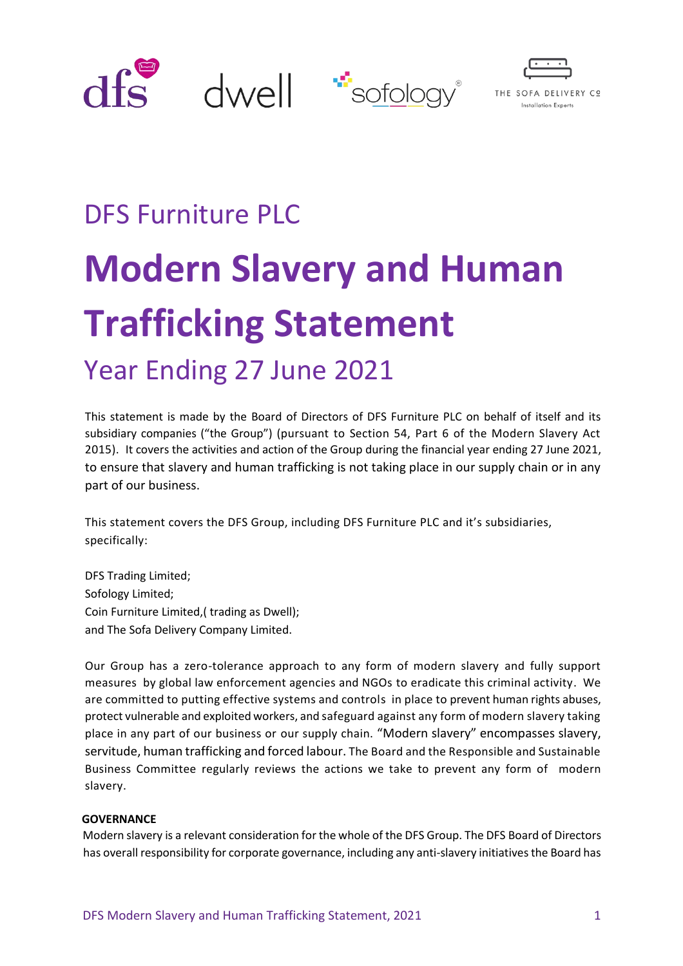



# DFS Furniture PLC **Modern Slavery and Human Trafficking Statement** Year Ending 27 June 2021

This statement is made by the Board of Directors of DFS Furniture PLC on behalf of itself and its subsidiary companies ("the Group") (pursuant to Section 54, Part 6 of the Modern Slavery Act 2015). It covers the activities and action of the Group during the financial year ending 27 June 2021, to ensure that slavery and human trafficking is not taking place in our supply chain or in any part of our business.

This statement covers the DFS Group, including DFS Furniture PLC and it's subsidiaries, specifically:

DFS Trading Limited; Sofology Limited; Coin Furniture Limited,( trading as Dwell); and The Sofa Delivery Company Limited.

Our Group has a zero-tolerance approach to any form of modern slavery and fully support measures by global law enforcement agencies and NGOs to eradicate this criminal activity. We are committed to putting effective systems and controls in place to prevent human rights abuses, protect vulnerable and exploited workers, and safeguard against any form of modern slavery taking place in any part of our business or our supply chain. "Modern slavery" encompasses slavery, servitude, human trafficking and forced labour. The Board and the Responsible and Sustainable Business Committee regularly reviews the actions we take to prevent any form of modern slavery.

## **GOVERNANCE**

Modern slavery is a relevant consideration for the whole of the DFS Group. The DFS Board of Directors has overall responsibility for corporate governance, including any anti-slavery initiatives the Board has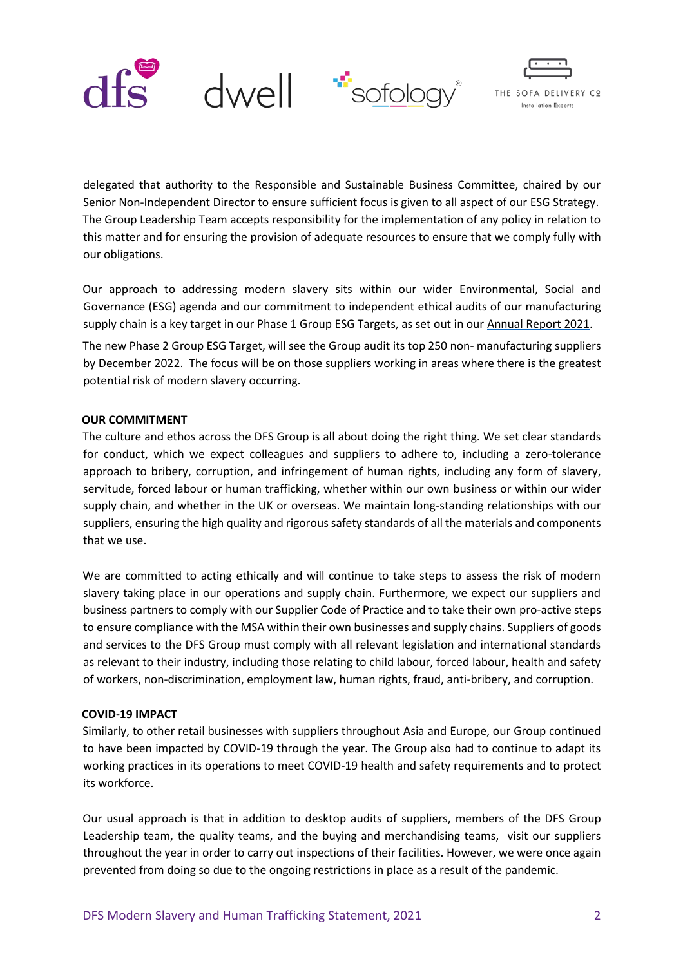



delegated that authority to the Responsible and Sustainable Business Committee, chaired by our Senior Non-Independent Director to ensure sufficient focus is given to all aspect of our ESG Strategy. The Group Leadership Team accepts responsibility for the implementation of any policy in relation to this matter and for ensuring the provision of adequate resources to ensure that we comply fully with our obligations.

Our approach to addressing modern slavery sits within our wider Environmental, Social and Governance (ESG) agenda and our commitment to independent ethical audits of our manufacturing supply chain is a key target in our Phase 1 Group ESG Targets, as set out in our Annual Report 202[1.](https://www.dfscorporate.co.uk/media/53495/DFS_AR2020.pdf)

The new Phase 2 Group ESG Target, will see the Group audit its top 250 non- manufacturing suppliers by December 2022. The focus will be on those suppliers working in areas where there is the greatest potential risk of modern slavery occurring.

## **OUR COMMITMENT**

The culture and ethos across the DFS Group is all about doing the right thing. We set clear standards for conduct, which we expect colleagues and suppliers to adhere to, including a zero-tolerance approach to bribery, corruption, and infringement of human rights, including any form of slavery, servitude, forced labour or human trafficking, whether within our own business or within our wider supply chain, and whether in the UK or overseas. We maintain long-standing relationships with our suppliers, ensuring the high quality and rigorous safety standards of all the materials and components that we use.

We are committed to acting ethically and will continue to take steps to assess the risk of modern slavery taking place in our operations and supply chain. Furthermore, we expect our suppliers and business partners to comply with our Supplier Code of Practice and to take their own pro-active steps to ensure compliance with the MSA within their own businesses and supply chains. Suppliers of goods and services to the DFS Group must comply with all relevant legislation and international standards as relevant to their industry, including those relating to child labour, forced labour, health and safety of workers, non-discrimination, employment law, human rights, fraud, anti-bribery, and corruption.

## **COVID-19 IMPACT**

Similarly, to other retail businesses with suppliers throughout Asia and Europe, our Group continued to have been impacted by COVID-19 through the year. The Group also had to continue to adapt its working practices in its operations to meet COVID-19 health and safety requirements and to protect its workforce.

Our usual approach is that in addition to desktop audits of suppliers, members of the DFS Group Leadership team, the quality teams, and the buying and merchandising teams, visit our suppliers throughout the year in order to carry out inspections of their facilities. However, we were once again prevented from doing so due to the ongoing restrictions in place as a result of the pandemic.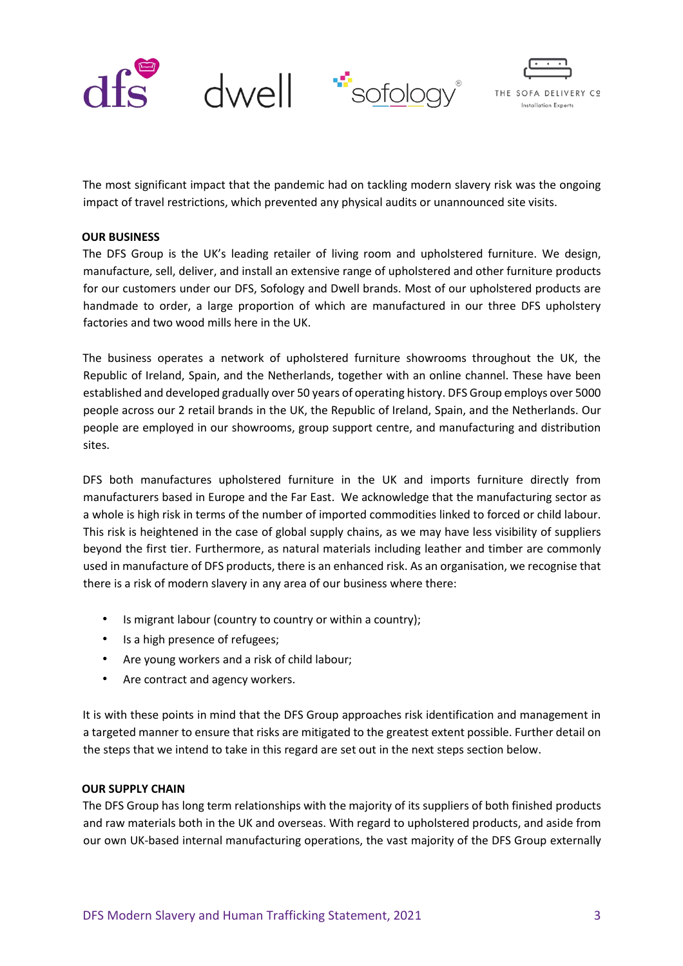



The most significant impact that the pandemic had on tackling modern slavery risk was the ongoing impact of travel restrictions, which prevented any physical audits or unannounced site visits.

### **OUR BUSINESS**

The DFS Group is the UK's leading retailer of living room and upholstered furniture. We design, manufacture, sell, deliver, and install an extensive range of upholstered and other furniture products for our customers under our DFS, Sofology and Dwell brands. Most of our upholstered products are handmade to order, a large proportion of which are manufactured in our three DFS upholstery factories and two wood mills here in the UK.

The business operates a network of upholstered furniture showrooms throughout the UK, the Republic of Ireland, Spain, and the Netherlands, together with an online channel. These have been established and developed gradually over 50 years of operating history. DFS Group employs over 5000 people across our 2 retail brands in the UK, the Republic of Ireland, Spain, and the Netherlands. Our people are employed in our showrooms, group support centre, and manufacturing and distribution sites.

DFS both manufactures upholstered furniture in the UK and imports furniture directly from manufacturers based in Europe and the Far East. We acknowledge that the manufacturing sector as a whole is high risk in terms of the number of imported commodities linked to forced or child labour. This risk is heightened in the case of global supply chains, as we may have less visibility of suppliers beyond the first tier. Furthermore, as natural materials including leather and timber are commonly used in manufacture of DFS products, there is an enhanced risk. As an organisation, we recognise that there is a risk of modern slavery in any area of our business where there:

- Is migrant labour (country to country or within a country);
- Is a high presence of refugees;
- Are young workers and a risk of child labour;
- Are contract and agency workers.

It is with these points in mind that the DFS Group approaches risk identification and management in a targeted manner to ensure that risks are mitigated to the greatest extent possible. Further detail on the steps that we intend to take in this regard are set out in the next steps section below.

## **OUR SUPPLY CHAIN**

The DFS Group has long term relationships with the majority of its suppliers of both finished products and raw materials both in the UK and overseas. With regard to upholstered products, and aside from our own UK-based internal manufacturing operations, the vast majority of the DFS Group externally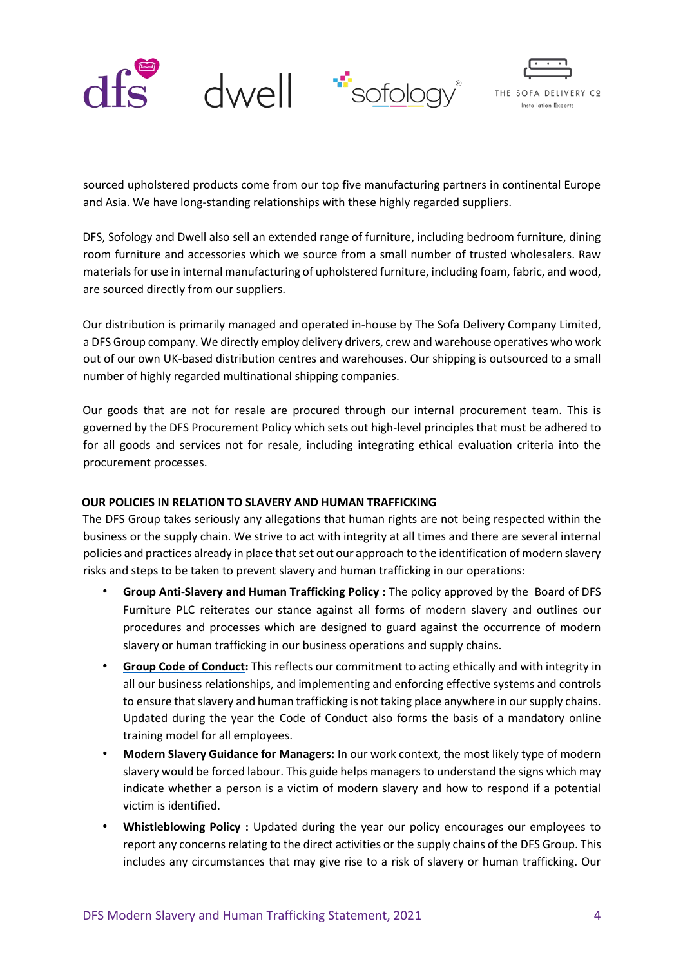



sourced upholstered products come from our top five manufacturing partners in continental Europe and Asia. We have long-standing relationships with these highly regarded suppliers.

DFS, Sofology and Dwell also sell an extended range of furniture, including bedroom furniture, dining room furniture and accessories which we source from a small number of trusted wholesalers. Raw materials for use in internal manufacturing of upholstered furniture, including foam, fabric, and wood, are sourced directly from our suppliers.

Our distribution is primarily managed and operated in-house by The Sofa Delivery Company Limited, a DFS Group company. We directly employ delivery drivers, crew and warehouse operatives who work out of our own UK-based distribution centres and warehouses. Our shipping is outsourced to a small number of highly regarded multinational shipping companies.

Our goods that are not for resale are procured through our internal procurement team. This is governed by the DFS Procurement Policy which sets out high-level principles that must be adhered to for all goods and services not for resale, including integrating ethical evaluation criteria into the procurement processes.

# **OUR POLICIES IN RELATION TO SLAVERY AND HUMAN TRAFFICKING**

The DFS Group takes seriously any allegations that human rights are not being respected within the business or the supply chain. We strive to act with integrity at all times and there are several internal policies and practices already in place that set out our approach to the identification of modern slavery risks and steps to be taken to prevent slavery and human trafficking in our operations:

- **Grou[p Anti-Slavery and Human Trafficking Policy](https://www.dfscorporate.co.uk/media/49465/Anti-slavery-and-human-trafficking-policy-Jan-2019.pdf) :** The policy approved by the Board of DFS Furniture PLC reiterates our stance against all forms of modern slavery and outlines our procedures and processes which are designed to guard against the occurrence of modern slavery or human trafficking in our business operations and supply chains.
- **[Group Code of Conduct:](https://www.dfscorporate.co.uk/media/53792/Group-Code-of-Conduct-November-2020.pdf)** This reflects our commitment to acting ethically and with integrity in all our business relationships, and implementing and enforcing effective systems and controls to ensure that slavery and human trafficking is not taking place anywhere in our supply chains. Updated during the year the Code of Conduct also forms the basis of a mandatory online training model for all employees.
- **Modern Slavery Guidance for Managers:** In our work context, the most likely type of modern slavery would be forced labour. This guide helps managers to understand the signs which may indicate whether a person is a victim of modern slavery and how to respond if a potential victim is identified.
- **[Whistleblowing Policy](https://www.dfscorporate.co.uk/media/49468/Group-Whistleblowing-Policy-2019.pdf) :** Updated during the year our policy encourages our employees to report any concerns relating to the direct activities or the supply chains of the DFS Group. This includes any circumstances that may give rise to a risk of slavery or human trafficking. Our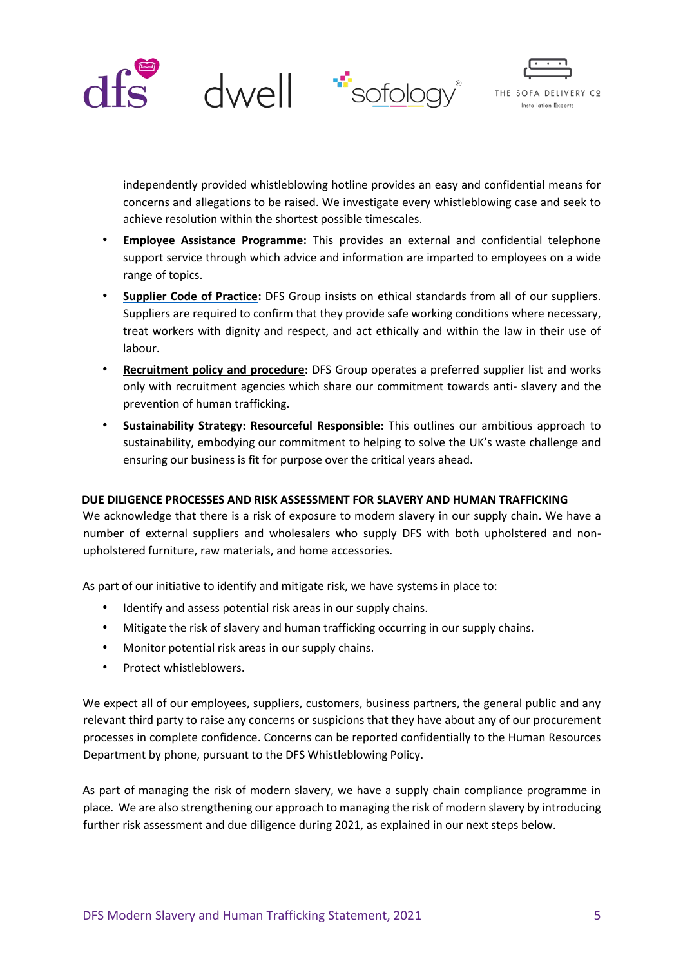



independently provided whistleblowing hotline provides an easy and confidential means for concerns and allegations to be raised. We investigate every whistleblowing case and seek to achieve resolution within the shortest possible timescales.

- **Employee Assistance Programme:** This provides an external and confidential telephone support service through which advice and information are imparted to employees on a wide range of topics.
- **[Supplier Code of Practice:](https://www.dfscorporate.co.uk/media/46645/21-DFS-Code-of-Practice-Version-1-October-2019.pdf)** DFS Group insists on ethical standards from all of our suppliers. Suppliers are required to confirm that they provide safe working conditions where necessary, treat workers with dignity and respect, and act ethically and within the law in their use of labour.
- **Recruitment policy and procedure:** DFS Group operates a preferred supplier list and works only with recruitment agencies which share our commitment towards anti- slavery and the prevention of human trafficking.
- **[Sustainability Strategy: Resourceful Responsible:](https://www.dfscorporate.co.uk/esg/sustainability-2020)** This outlines our ambitious approach to sustainability, embodying our commitment to helping to solve the UK's waste challenge and ensuring our business is fit for purpose over the critical years ahead.

# **DUE DILIGENCE PROCESSES AND RISK ASSESSMENT FOR SLAVERY AND HUMAN TRAFFICKING**

We acknowledge that there is a risk of exposure to modern slavery in our supply chain. We have a number of external suppliers and wholesalers who supply DFS with both upholstered and nonupholstered furniture, raw materials, and home accessories.

As part of our initiative to identify and mitigate risk, we have systems in place to:

- Identify and assess potential risk areas in our supply chains.
- Mitigate the risk of slavery and human trafficking occurring in our supply chains.
- Monitor potential risk areas in our supply chains.
- Protect whistleblowers.

We expect all of our employees, suppliers, customers, business partners, the general public and any relevant third party to raise any concerns or suspicions that they have about any of our procurement processes in complete confidence. Concerns can be reported confidentially to the Human Resources Department by phone, pursuant to the DFS Whistleblowing Policy.

As part of managing the risk of modern slavery, we have a supply chain compliance programme in place. We are also strengthening our approach to managing the risk of modern slavery by introducing further risk assessment and due diligence during 2021, as explained in our next steps below.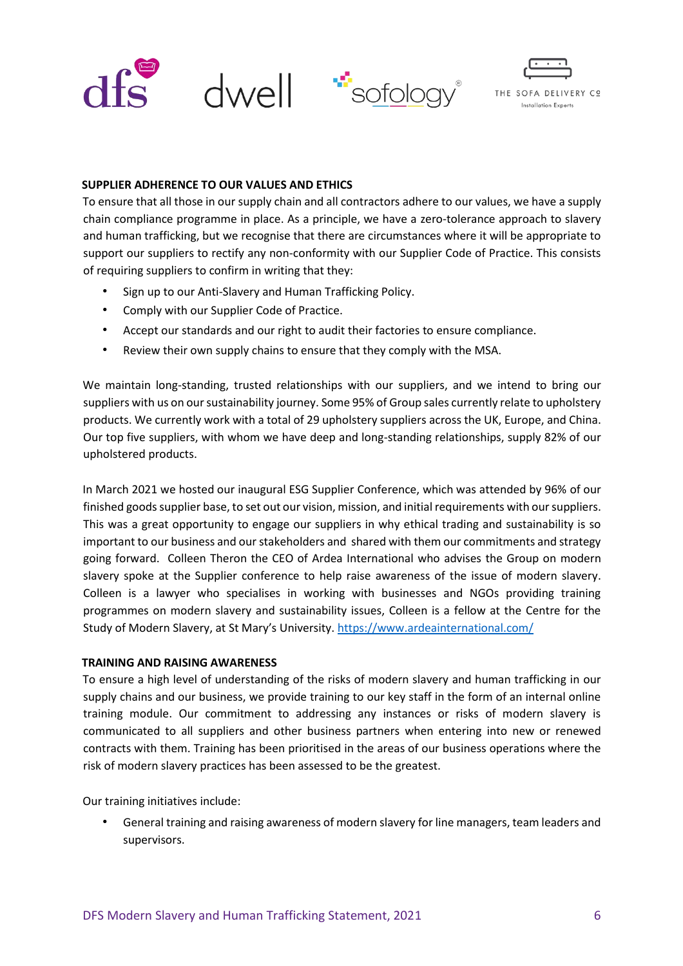



## **SUPPLIER ADHERENCE TO OUR VALUES AND ETHICS**

To ensure that all those in our supply chain and all contractors adhere to our values, we have a supply chain compliance programme in place. As a principle, we have a zero-tolerance approach to slavery and human trafficking, but we recognise that there are circumstances where it will be appropriate to support our suppliers to rectify any non-conformity with our Supplier Code of Practice. This consists of requiring suppliers to confirm in writing that they:

- Sign up to our Anti-Slavery and Human Trafficking Policy.
- Comply with our Supplier Code of Practice.
- Accept our standards and our right to audit their factories to ensure compliance.
- Review their own supply chains to ensure that they comply with the MSA.

We maintain long-standing, trusted relationships with our suppliers, and we intend to bring our suppliers with us on our sustainability journey. Some 95% of Group sales currently relate to upholstery products. We currently work with a total of 29 upholstery suppliers across the UK, Europe, and China. Our top five suppliers, with whom we have deep and long-standing relationships, supply 82% of our upholstered products.

In March 2021 we hosted our inaugural ESG Supplier Conference, which was attended by 96% of our finished goods supplier base, to set out our vision, mission, and initial requirements with our suppliers. This was a great opportunity to engage our suppliers in why ethical trading and sustainability is so important to our business and our stakeholders and shared with them our commitments and strategy going forward. Colleen Theron the CEO of Ardea International who advises the Group on modern slavery spoke at the Supplier conference to help raise awareness of the issue of modern slavery. Colleen is a lawyer who specialises in working with businesses and NGOs providing training programmes on modern slavery and sustainability issues, Colleen is a fellow at the Centre for the Study of Modern Slavery, at St Mary's University. <https://www.ardeainternational.com/>

## **TRAINING AND RAISING AWARENESS**

To ensure a high level of understanding of the risks of modern slavery and human trafficking in our supply chains and our business, we provide training to our key staff in the form of an internal online training module. Our commitment to addressing any instances or risks of modern slavery is communicated to all suppliers and other business partners when entering into new or renewed contracts with them. Training has been prioritised in the areas of our business operations where the risk of modern slavery practices has been assessed to be the greatest.

Our training initiatives include:

• General training and raising awareness of modern slavery for line managers, team leaders and supervisors.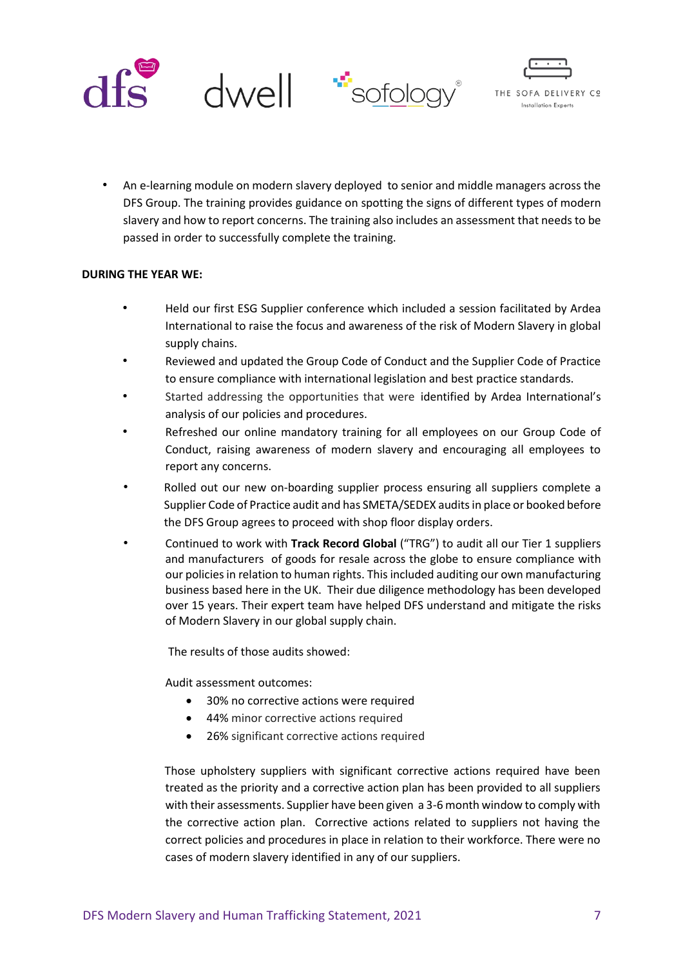



• An e-learning module on modern slavery deployed to senior and middle managers across the DFS Group. The training provides guidance on spotting the signs of different types of modern slavery and how to report concerns. The training also includes an assessment that needs to be passed in order to successfully complete the training.

## **DURING THE YEAR WE:**

- Held our first ESG Supplier conference which included a session facilitated by Ardea International to raise the focus and awareness of the risk of Modern Slavery in global supply chains.
- Reviewed and updated the Group Code of Conduct and the Supplier Code of Practice to ensure compliance with international legislation and best practice standards.
- Started addressing the opportunities that were identified by Ardea International's analysis of our policies and procedures.
- Refreshed our online mandatory training for all employees on our Group Code of Conduct, raising awareness of modern slavery and encouraging all employees to report any concerns.
- Rolled out our new on-boarding supplier process ensuring all suppliers complete a Supplier Code of Practice audit and has SMETA/SEDEX audits in place or booked before the DFS Group agrees to proceed with shop floor display orders.
- Continued to work with **Track Record Global** ("TRG") to audit all our Tier 1 suppliers and manufacturers of goods for resale across the globe to ensure compliance with our policies in relation to human rights. This included auditing our own manufacturing business based here in the UK. Their due diligence methodology has been developed over 15 years. Their expert team have helped DFS understand and mitigate the risks of Modern Slavery in our global supply chain.

The results of those audits showed:

Audit assessment outcomes:

- 30% no corrective actions were required
- 44% minor corrective actions required
- 26% significant corrective actions required

Those upholstery suppliers with significant corrective actions required have been treated as the priority and a corrective action plan has been provided to all suppliers with their assessments. Supplier have been given a 3-6 month window to comply with the corrective action plan. Corrective actions related to suppliers not having the correct policies and procedures in place in relation to their workforce. There were no cases of modern slavery identified in any of our suppliers.